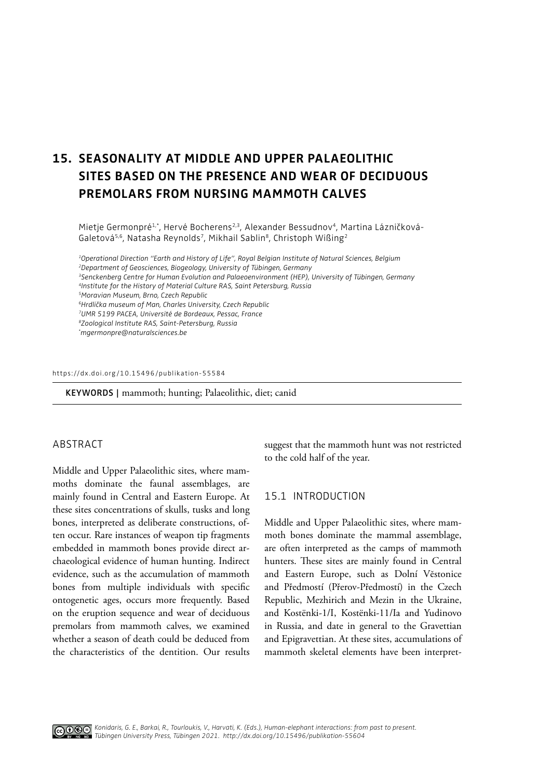# **15. SEASONALITY AT MIDDLE AND UPPER PALAEOLITHIC SITES BASED ON THE PRESENCE AND WEAR OF DECIDUOUS PREMOLARS FROM NURSING MAMMOTH CALVES**

Mietje Germonpré<sup>1,\*</sup>, Hervé Bocherens<sup>2,3</sup>, Alexander Bessudnov<sup>4</sup>, Martina Lázničková-Galetová<sup>5,6</sup>, Natasha Reynolds<sup>7</sup>, Mikhail Sablin<sup>8</sup>, Christoph Wißing<sup>2</sup>

*1Operational Direction "Earth and History of Life", Royal Belgian Institute of Natural Sciences, Belgium 2Department of Geosciences, Biogeology, University of Tübingen, Germany 3Senckenberg Centre for Human Evolution and Palaeoenvironment (HEP), University of Tübingen, Germany 4Institute for the History of Material Culture RAS, Saint Petersburg, Russia 5Moravian Museum, Brno, Czech Republic 6Hrdlička museum of Man, Charles University, Czech Republic 7UMR 5199 PACEA, Université de Bordeaux, Pessac, France 8Zoological Institute RAS, Saint-Petersburg, Russia \* mgermonpre@naturalsciences.be*

#### [https://dx.doi.org/10.15496/publikation-5](https://dx.doi.org/10.15496/publikation-55584)5584

KEYWORDS | mammoth; hunting; Palaeolithic, diet; canid

# ABSTRACT

Middle and Upper Palaeolithic sites, where mammoths dominate the faunal assemblages, are mainly found in Central and Eastern Europe. At these sites concentrations of skulls, tusks and long bones, interpreted as deliberate constructions, often occur. Rare instances of weapon tip fragments embedded in mammoth bones provide direct archaeological evidence of human hunting. Indirect evidence, such as the accumulation of mammoth bones from multiple individuals with specifc ontogenetic ages, occurs more frequently. Based on the eruption sequence and wear of deciduous premolars from mammoth calves, we examined whether a season of death could be deduced from the characteristics of the dentition. Our results

suggest that the mammoth hunt was not restricted to the cold half of the year.

# 15.1 INTRODUCTION

Middle and Upper Palaeolithic sites, where mammoth bones dominate the mammal assemblage, are often interpreted as the camps of mammoth hunters. These sites are mainly found in Central and Eastern Europe, such as Dolní Vĕstonice and Předmostí (Přerov-Předmostí) in the Czech Republic, Mezhirich and Mezin in the Ukraine, and Kostënki-1/I, Kostënki-11/Ia and Yudinovo in Russia, and date in general to the Gravettian and Epigravettian. At these sites, accumulations of mammoth skeletal elements have been interpret-

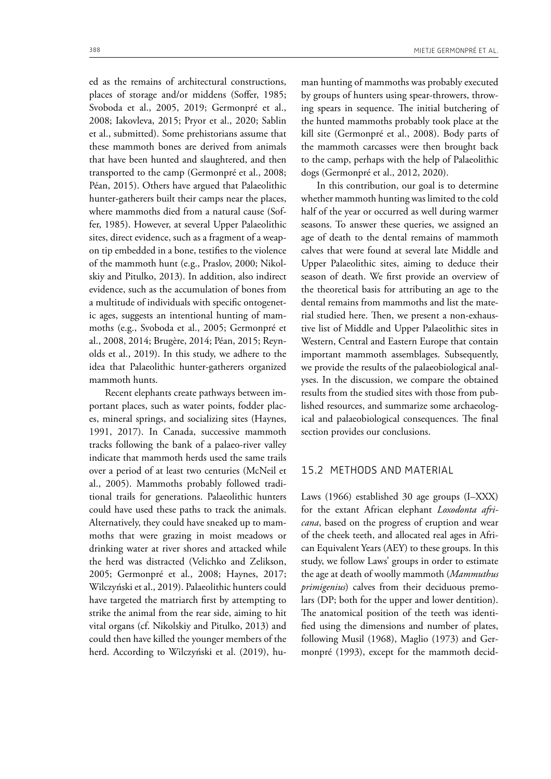ed as the remains of architectural constructions, places of storage and/or middens (Soffer, 1985; Svoboda et al., 2005, 2019; Germonpré et al., 2008; Iakovleva, 2015; Pryor et al., 2020; Sablin et al., submitted). Some prehistorians assume that these mammoth bones are derived from animals that have been hunted and slaughtered, and then transported to the camp (Germonpré et al., 2008; Péan, 2015). Others have argued that Palaeolithic hunter-gatherers built their camps near the places, where mammoths died from a natural cause (Soffer, 1985). However, at several Upper Palaeolithic sites, direct evidence, such as a fragment of a weapon tip embedded in a bone, testifes to the violence of the mammoth hunt (e.g., Praslov, 2000; Nikolskiy and Pitulko, 2013). In addition, also indirect evidence, such as the accumulation of bones from a multitude of individuals with specifc ontogenetic ages, suggests an intentional hunting of mammoths (e.g., Svoboda et al., 2005; Germonpré et al., 2008, 2014; Brugère, 2014; Péan, 2015; Reynolds et al., 2019). In this study, we adhere to the idea that Palaeolithic hunter-gatherers organized mammoth hunts.

Recent elephants create pathways between important places, such as water points, fodder places, mineral springs, and socializing sites (Haynes, 1991, 2017). In Canada, successive mammoth tracks following the bank of a palaeo-river valley indicate that mammoth herds used the same trails over a period of at least two centuries (McNeil et al., 2005). Mammoths probably followed traditional trails for generations. Palaeolithic hunters could have used these paths to track the animals. Alternatively, they could have sneaked up to mammoths that were grazing in moist meadows or drinking water at river shores and attacked while the herd was distracted (Velichko and Zelikson, 2005; Germonpré et al., 2008; Haynes, 2017; Wilczyński et al., 2019). Palaeolithic hunters could have targeted the matriarch frst by attempting to strike the animal from the rear side, aiming to hit vital organs (cf. Nikolskiy and Pitulko, 2013) and could then have killed the younger members of the herd. According to Wilczyński et al. (2019), human hunting of mammoths was probably executed by groups of hunters using spear-throwers, throwing spears in sequence. The initial butchering of the hunted mammoths probably took place at the kill site (Germonpré et al., 2008). Body parts of the mammoth carcasses were then brought back to the camp, perhaps with the help of Palaeolithic dogs (Germonpré et al., 2012, 2020).

In this contribution, our goal is to determine whether mammoth hunting was limited to the cold half of the year or occurred as well during warmer seasons. To answer these queries, we assigned an age of death to the dental remains of mammoth calves that were found at several late Middle and Upper Palaeolithic sites, aiming to deduce their season of death. We frst provide an overview of the theoretical basis for attributing an age to the dental remains from mammoths and list the material studied here. Then, we present a non-exhaustive list of Middle and Upper Palaeolithic sites in Western, Central and Eastern Europe that contain important mammoth assemblages. Subsequently, we provide the results of the palaeobiological analyses. In the discussion, we compare the obtained results from the studied sites with those from published resources, and summarize some archaeological and palaeobiological consequences. The final section provides our conclusions.

# 15.2 METHODS AND MATERIAL

Laws (1966) established 30 age groups (I–XXX) for the extant African elephant *Loxodonta africana*, based on the progress of eruption and wear of the cheek teeth, and allocated real ages in African Equivalent Years (AEY) to these groups. In this study, we follow Laws' groups in order to estimate the age at death of woolly mammoth (*Mammuthus primigenius*) calves from their deciduous premolars (DP; both for the upper and lower dentition). The anatomical position of the teeth was identifed using the dimensions and number of plates, following Musil (1968), Maglio (1973) and Germonpré (1993), except for the mammoth decid-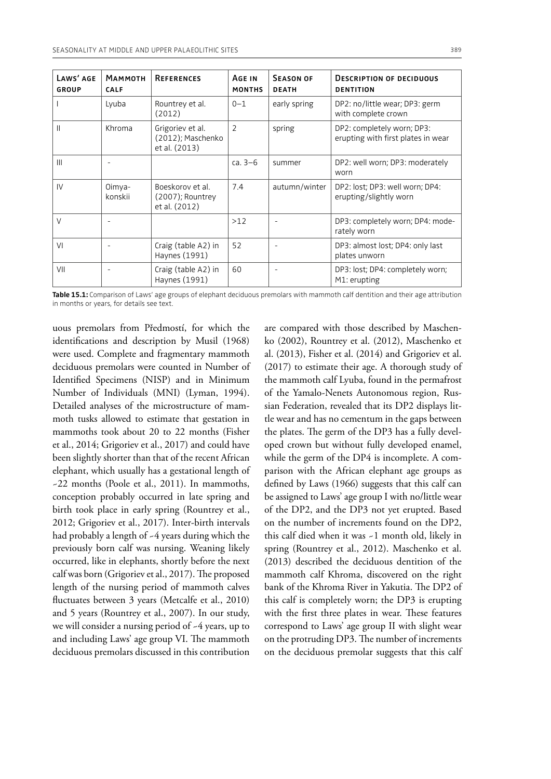| LAWS' AGE<br><b>GROUP</b> | <b>МАММОТН</b><br><b>CALF</b> | <b>REFERENCES</b>                                        | AGE IN<br><b>MONTHS</b> | <b>SEASON OF</b><br><b>DEATH</b> | <b>DESCRIPTION OF DECIDUOUS</b><br><b>DENTITION</b>              |
|---------------------------|-------------------------------|----------------------------------------------------------|-------------------------|----------------------------------|------------------------------------------------------------------|
|                           | Lyuba                         | Rountrey et al.<br>(2012)                                | $0 - 1$                 | early spring                     | DP2: no/little wear; DP3: germ<br>with complete crown            |
| $\mathbf{I}$              | Khroma                        | Grigoriev et al.<br>(2012); Maschenko<br>et al. (2013)   | $\overline{2}$          | spring                           | DP2: completely worn; DP3:<br>erupting with first plates in wear |
| $\mathbf{III}$            |                               |                                                          | ca. $3-6$               | summer                           | DP2: well worn; DP3: moderately<br>worn                          |
| IV                        | Oimya-<br>konskii             | Boeskorov et al.<br>$(2007)$ ; Rountrey<br>et al. (2012) | 7.4                     | autumn/winter                    | DP2: lost; DP3: well worn; DP4:<br>erupting/slightly worn        |
| V                         |                               |                                                          | $>12$                   |                                  | DP3: completely worn; DP4: mode-<br>rately worn                  |
| VI                        | $\overline{\phantom{a}}$      | Craig (table A2) in<br>Haynes (1991)                     | 52                      |                                  | DP3: almost lost; DP4: only last<br>plates unworn                |
| VII                       |                               | Craig (table A2) in<br>Haynes (1991)                     | 60                      |                                  | DP3: lost; DP4: completely worn;<br>M1: erupting                 |

**Table 15.1:** Comparison of Laws' age groups of elephant deciduous premolars with mammoth calf dentition and their age attribution in months or years, for details see text.

uous premolars from Předmostí, for which the identifcations and description by Musil (1968) were used. Complete and fragmentary mammoth deciduous premolars were counted in Number of Identifed Specimens (NISP) and in Minimum Number of Individuals (MNI) (Lyman, 1994). Detailed analyses of the microstructure of mammoth tusks allowed to estimate that gestation in mammoths took about 20 to 22 months (Fisher et al., 2014; Grigoriev et al., 2017) and could have been slightly shorter than that of the recent African elephant, which usually has a gestational length of ~22 months (Poole et al., 2011). In mammoths, conception probably occurred in late spring and birth took place in early spring (Rountrey et al., 2012; Grigoriev et al., 2017). Inter-birth intervals had probably a length of -4 years during which the previously born calf was nursing. Weaning likely occurred, like in elephants, shortly before the next calf was born (Grigoriev et al., 2017). The proposed length of the nursing period of mammoth calves fuctuates between 3 years (Metcalfe et al., 2010) and 5 years (Rountrey et al., 2007). In our study, we will consider a nursing period of ~4 years, up to and including Laws' age group VI. The mammoth deciduous premolars discussed in this contribution

are compared with those described by Maschenko (2002), Rountrey et al. (2012), Maschenko et al. (2013), Fisher et al. (2014) and Grigoriev et al. (2017) to estimate their age. A thorough study of the mammoth calf Lyuba, found in the permafrost of the Yamalo-Nenets Autonomous region, Russian Federation, revealed that its DP2 displays little wear and has no cementum in the gaps between the plates. The germ of the DP3 has a fully developed crown but without fully developed enamel, while the germ of the DP4 is incomplete. A comparison with the African elephant age groups as defned by Laws (1966) suggests that this calf can be assigned to Laws' age group I with no/little wear of the DP2, and the DP3 not yet erupted. Based on the number of increments found on the DP2, this calf died when it was ~1 month old, likely in spring (Rountrey et al., 2012). Maschenko et al. (2013) described the deciduous dentition of the mammoth calf Khroma, discovered on the right bank of the Khroma River in Yakutia. The DP2 of this calf is completely worn; the DP3 is erupting with the first three plates in wear. These features correspond to Laws' age group II with slight wear on the protruding DP3. The number of increments on the deciduous premolar suggests that this calf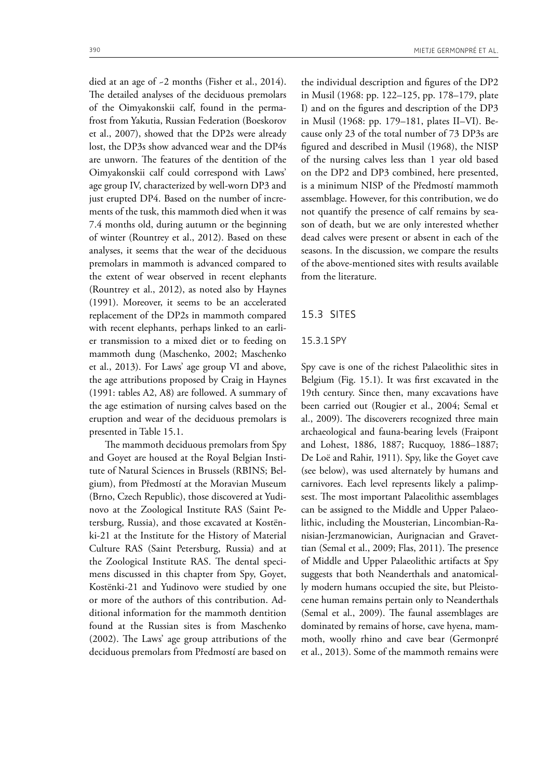died at an age of ~2 months (Fisher et al., 2014). The detailed analyses of the deciduous premolars of the Oimyakonskii calf, found in the permafrost from Yakutia, Russian Federation (Boeskorov et al., 2007), showed that the DP2s were already lost, the DP3s show advanced wear and the DP4s are unworn. The features of the dentition of the Oimyakonskii calf could correspond with Laws' age group IV, characterized by well-worn DP3 and just erupted DP4. Based on the number of increments of the tusk, this mammoth died when it was 7.4 months old, during autumn or the beginning of winter (Rountrey et al., 2012). Based on these analyses, it seems that the wear of the deciduous premolars in mammoth is advanced compared to the extent of wear observed in recent elephants (Rountrey et al., 2012), as noted also by Haynes (1991). Moreover, it seems to be an accelerated replacement of the DP2s in mammoth compared with recent elephants, perhaps linked to an earlier transmission to a mixed diet or to feeding on mammoth dung (Maschenko, 2002; Maschenko et al., 2013). For Laws' age group VI and above, the age attributions proposed by Craig in Haynes (1991: tables A2, A8) are followed. A summary of the age estimation of nursing calves based on the eruption and wear of the deciduous premolars is presented in Table 15.1.

The mammoth deciduous premolars from Spy and Goyet are housed at the Royal Belgian Institute of Natural Sciences in Brussels (RBINS; Belgium), from Předmostí at the Moravian Museum (Brno, Czech Republic), those discovered at Yudinovo at the Zoological Institute RAS (Saint Petersburg, Russia), and those excavated at Kostënki-21 at the Institute for the History of Material Culture RAS (Saint Petersburg, Russia) and at the Zoological Institute RAS. The dental specimens discussed in this chapter from Spy, Goyet, Kostënki-21 and Yudinovo were studied by one or more of the authors of this contribution. Additional information for the mammoth dentition found at the Russian sites is from Maschenko  $(2002)$ . The Laws' age group attributions of the deciduous premolars from Předmostí are based on the individual description and fgures of the DP2 in Musil (1968: pp. 122–125, pp. 178–179, plate I) and on the fgures and description of the DP3 in Musil (1968: pp. 179–181, plates II–VI). Because only 23 of the total number of 73 DP3s are fgured and described in Musil (1968), the NISP of the nursing calves less than 1 year old based on the DP2 and DP3 combined, here presented, is a minimum NISP of the Předmostí mammoth assemblage. However, for this contribution, we do not quantify the presence of calf remains by season of death, but we are only interested whether dead calves were present or absent in each of the seasons. In the discussion, we compare the results of the above-mentioned sites with results available from the literature.

### 15.3 SITES

### 15.3.1SPY

Spy cave is one of the richest Palaeolithic sites in Belgium (Fig. 15.1). It was frst excavated in the 19th century. Since then, many excavations have been carried out (Rougier et al., 2004; Semal et al., 2009). The discoverers recognized three main archaeological and fauna-bearing levels (Fraipont and Lohest, 1886, 1887; Rucquoy, 1886–1887; De Loë and Rahir, 1911). Spy, like the Goyet cave (see below), was used alternately by humans and carnivores. Each level represents likely a palimpsest. The most important Palaeolithic assemblages can be assigned to the Middle and Upper Palaeolithic, including the Mousterian, Lincombian-Ranisian-Jerzmanowician, Aurignacian and Gravettian (Semal et al., 2009; Flas, 2011). The presence of Middle and Upper Palaeolithic artifacts at Spy suggests that both Neanderthals and anatomically modern humans occupied the site, but Pleistocene human remains pertain only to Neanderthals (Semal et al., 2009). The faunal assemblages are dominated by remains of horse, cave hyena, mammoth, woolly rhino and cave bear (Germonpré et al., 2013). Some of the mammoth remains were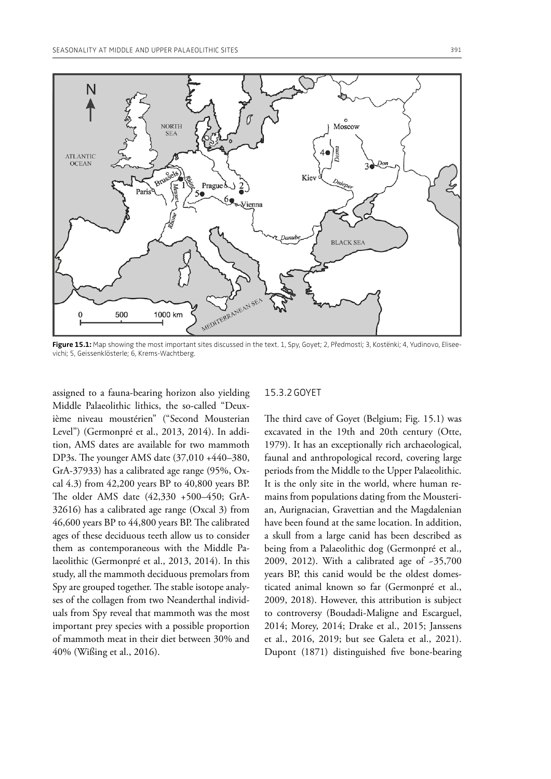

Figure 15.1: Map showing the most important sites discussed in the text. 1, Spy, Goyet; 2, Předmostí; 3, Kostënki; 4, Yudinovo, Eliseevichi; 5, Geissenklösterle; 6, Krems-Wachtberg.

assigned to a fauna-bearing horizon also yielding Middle Palaeolithic lithics, the so-called "Deuxième niveau moustérien" ("Second Mousterian Level") (Germonpré et al., 2013, 2014). In addition, AMS dates are available for two mammoth DP3s. The younger AMS date (37,010 +440-380, GrA-37933) has a calibrated age range (95%, Oxcal 4.3) from 42,200 years BP to 40,800 years BP. The older AMS date (42,330 +500-450; GrA-32616) has a calibrated age range (Oxcal 3) from 46,600 years BP to 44,800 years BP. The calibrated ages of these deciduous teeth allow us to consider them as contemporaneous with the Middle Palaeolithic (Germonpré et al., 2013, 2014). In this study, all the mammoth deciduous premolars from Spy are grouped together. The stable isotope analyses of the collagen from two Neanderthal individuals from Spy reveal that mammoth was the most important prey species with a possible proportion of mammoth meat in their diet between 30% and 40% (Wißing et al., 2016).

## 15.3.2GOYET

The third cave of Goyet (Belgium; Fig. 15.1) was excavated in the 19th and 20th century (Otte, 1979). It has an exceptionally rich archaeological, faunal and anthropological record, covering large periods from the Middle to the Upper Palaeolithic. It is the only site in the world, where human remains from populations dating from the Mousterian, Aurignacian, Gravettian and the Magdalenian have been found at the same location. In addition, a skull from a large canid has been described as being from a Palaeolithic dog (Germonpré et al., 2009, 2012). With a calibrated age of ~35,700 years BP, this canid would be the oldest domesticated animal known so far (Germonpré et al., 2009, 2018). However, this attribution is subject to controversy (Boudadi-Maligne and Escarguel, 2014; Morey, 2014; Drake et al., 2015; Janssens et al., 2016, 2019; but see Galeta et al., 2021). Dupont (1871) distinguished five bone-bearing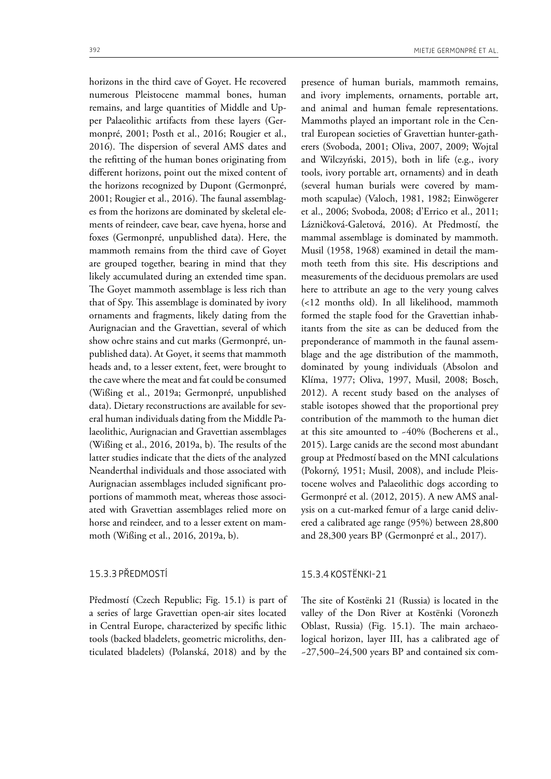horizons in the third cave of Goyet. He recovered numerous Pleistocene mammal bones, human remains, and large quantities of Middle and Upper Palaeolithic artifacts from these layers (Germonpré, 2001; Posth et al., 2016; Rougier et al., 2016). The dispersion of several AMS dates and the reftting of the human bones originating from diferent horizons, point out the mixed content of the horizons recognized by Dupont (Germonpré, 2001; Rougier et al., 2016). The faunal assemblages from the horizons are dominated by skeletal elements of reindeer, cave bear, cave hyena, horse and foxes (Germonpré, unpublished data). Here, the mammoth remains from the third cave of Goyet are grouped together, bearing in mind that they likely accumulated during an extended time span. The Goyet mammoth assemblage is less rich than that of Spy. This assemblage is dominated by ivory ornaments and fragments, likely dating from the Aurignacian and the Gravettian, several of which show ochre stains and cut marks (Germonpré, unpublished data). At Goyet, it seems that mammoth heads and, to a lesser extent, feet, were brought to the cave where the meat and fat could be consumed (Wißing et al., 2019a; Germonpré, unpublished data). Dietary reconstructions are available for several human individuals dating from the Middle Palaeolithic, Aurignacian and Gravettian assemblages (Wißing et al.,  $2016$ ,  $2019a$ , b). The results of the latter studies indicate that the diets of the analyzed Neanderthal individuals and those associated with Aurignacian assemblages included signifcant proportions of mammoth meat, whereas those associated with Gravettian assemblages relied more on horse and reindeer, and to a lesser extent on mam-

# 15.3.3PŘEDMOSTÍ

Předmostí (Czech Republic; Fig. 15.1) is part of a series of large Gravettian open-air sites located in Central Europe, characterized by specifc lithic tools (backed bladelets, geometric microliths, denticulated bladelets) (Polanská, 2018) and by the

moth (Wißing et al., 2016, 2019a, b).

presence of human burials, mammoth remains, and ivory implements, ornaments, portable art, and animal and human female representations. Mammoths played an important role in the Central European societies of Gravettian hunter-gatherers (Svoboda, 2001; Oliva, 2007, 2009; Wojtal and Wilczyński, 2015), both in life (e.g., ivory tools, ivory portable art, ornaments) and in death (several human burials were covered by mammoth scapulae) (Valoch, 1981, 1982; Einwögerer et al., 2006; Svoboda, 2008; d'Errico et al., 2011; Lázničková-Galetová, 2016). At Předmostí, the mammal assemblage is dominated by mammoth. Musil (1958, 1968) examined in detail the mammoth teeth from this site. His descriptions and measurements of the deciduous premolars are used here to attribute an age to the very young calves (<12 months old). In all likelihood, mammoth formed the staple food for the Gravettian inhabitants from the site as can be deduced from the preponderance of mammoth in the faunal assemblage and the age distribution of the mammoth, dominated by young individuals (Absolon and Klíma, 1977; Oliva, 1997, Musil, 2008; Bosch, 2012). A recent study based on the analyses of stable isotopes showed that the proportional prey contribution of the mammoth to the human diet at this site amounted to ~40% (Bocherens et al., 2015). Large canids are the second most abundant group at Předmostí based on the MNI calculations (Pokorný, 1951; Musil, 2008), and include Pleistocene wolves and Palaeolithic dogs according to Germonpré et al. (2012, 2015). A new AMS analysis on a cut-marked femur of a large canid delivered a calibrated age range (95%) between 28,800 and 28,300 years BP (Germonpré et al., 2017).

# 15.3.4KOSTËNKI-21

The site of Kostënki 21 (Russia) is located in the valley of the Don River at Kostënki (Voronezh Oblast, Russia) (Fig. 15.1). The main archaeological horizon, layer III, has a calibrated age of ~27,500–24,500 years BP and contained six com-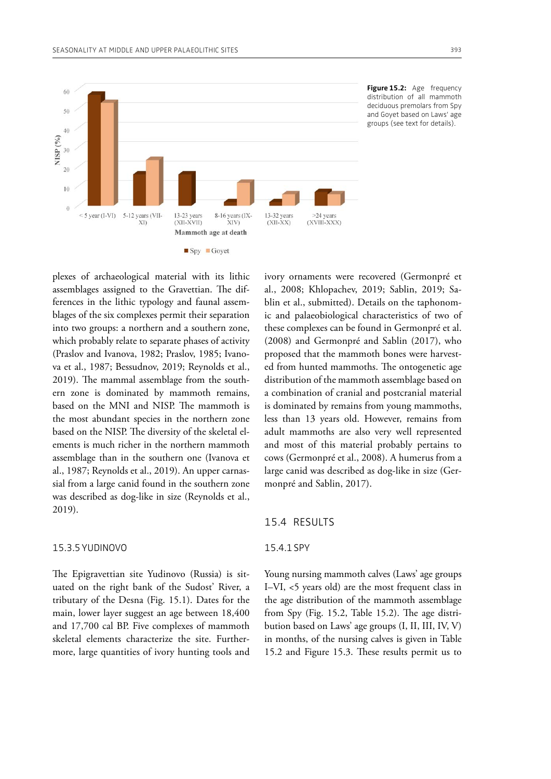

**Figure 15.2:** Age frequency distribution of all mammoth deciduous premolars from Spy and Goyet based on Laws' age groups (see text for details).

plexes of archaeological material with its lithic assemblages assigned to the Gravettian. The differences in the lithic typology and faunal assemblages of the six complexes permit their separation into two groups: a northern and a southern zone, which probably relate to separate phases of activity (Praslov and Ivanova, 1982; Praslov, 1985; Ivanova et al., 1987; Bessudnov, 2019; Reynolds et al., 2019). The mammal assemblage from the southern zone is dominated by mammoth remains, based on the MNI and NISP. The mammoth is the most abundant species in the northern zone based on the NISP. The diversity of the skeletal elements is much richer in the northern mammoth assemblage than in the southern one (Ivanova et al., 1987; Reynolds et al., 2019). An upper carnassial from a large canid found in the southern zone was described as dog-like in size (Reynolds et al., 2019).

#### 15.3.5YUDINOVO

The Epigravettian site Yudinovo (Russia) is situated on the right bank of the Sudost' River, a tributary of the Desna (Fig. 15.1). Dates for the main, lower layer suggest an age between 18,400 and 17,700 cal BP. Five complexes of mammoth skeletal elements characterize the site. Furthermore, large quantities of ivory hunting tools and ivory ornaments were recovered (Germonpré et al., 2008; Khlopachev, 2019; Sablin, 2019; Sablin et al., submitted). Details on the taphonomic and palaeobiological characteristics of two of these complexes can be found in Germonpré et al. (2008) and Germonpré and Sablin (2017), who proposed that the mammoth bones were harvested from hunted mammoths. The ontogenetic age distribution of the mammoth assemblage based on a combination of cranial and postcranial material is dominated by remains from young mammoths, less than 13 years old. However, remains from adult mammoths are also very well represented and most of this material probably pertains to cows (Germonpré et al., 2008). A humerus from a large canid was described as dog-like in size (Germonpré and Sablin, 2017).

### 15.4 RESULTS

#### 15.4.1SPY

Young nursing mammoth calves (Laws' age groups I–VI, <5 years old) are the most frequent class in the age distribution of the mammoth assemblage from Spy (Fig.  $15.2$ , Table  $15.2$ ). The age distribution based on Laws' age groups (I, II, III, IV, V) in months, of the nursing calves is given in Table 15.2 and Figure 15.3. These results permit us to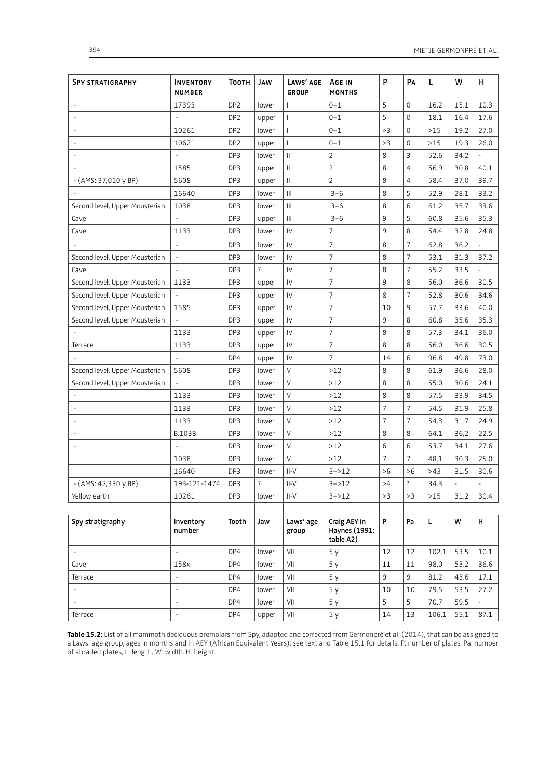| <b>SPY STRATIGRAPHY</b>        | <b>INVENTORY</b><br><b>NUMBER</b> | Тоотн           | JAW            | LAWS' AGE<br><b>GROUP</b>                                                 | AGE IN<br><b>MONTHS</b>                    | P              | Pа                       | L     | W                        | н                        |
|--------------------------------|-----------------------------------|-----------------|----------------|---------------------------------------------------------------------------|--------------------------------------------|----------------|--------------------------|-------|--------------------------|--------------------------|
|                                | 17393                             | DP <sub>2</sub> | lower          | 1                                                                         | $0 - 1$                                    | 5              | 0                        | 16.2  | 15.1                     | 10.3                     |
|                                | $\overline{\phantom{a}}$          | DP <sub>2</sub> | upper          | $\mathbf{I}$                                                              | $0 - 1$                                    | 5              | $\mathbf 0$              | 18.1  | 16.4                     | 17.6                     |
|                                | 10261                             | DP <sub>2</sub> | lower          | $\overline{1}$                                                            | $0 - 1$                                    | >3             | $\mathbf 0$              | $>15$ | 19.2                     | 27.0                     |
|                                | 10621                             | DP <sub>2</sub> | upper          | $\mathbf{I}$                                                              | $0 - 1$                                    | >3             | $\mathbf 0$              | $>15$ | 19.3                     | 26.0                     |
|                                |                                   | DP3             | lower          | $\label{eq:1} \prod_{i=1}^n \left\{ \prod_{i=1}^n \frac{1}{n_i} \right\}$ | 2                                          | 8              | 3                        | 52.6  | 34.2                     |                          |
|                                | 1585                              | DP3             | upper          | $\label{eq:1} \prod_{i=1}^n \alpha_i = \prod_{i=1}^n \alpha_i$            | 2                                          | 8              | $\overline{4}$           | 56.9  | 30.8                     | 40.1                     |
| - (AMS: 37,010 y BP)           | 5608                              | DP3             | upper          | $\label{eq:1} \prod_{i=1}^n \left\{ \prod_{i=1}^n \frac{1}{n_i} \right\}$ | $\overline{2}$                             | 8              | $\overline{4}$           | 58.4  | 37.0                     | 39.7                     |
|                                | 16640                             | DP3             | lower          | $\mathbf{III}$                                                            | $3 - 6$                                    | 8              | 5                        | 52.9  | 28.1                     | 33.2                     |
| Second level, Upper Mousterian | 1038                              | DP3             | lower          | $\mathbf{III}$                                                            | $3 - 6$                                    | 8              | 6                        | 61.2  | 35.7                     | 33.6                     |
| Cave                           | ÷                                 | DP3             | upper          | Ш                                                                         | $3 - 6$                                    | 9              | 5                        | 60.8  | 35.6                     | 35.3                     |
| Cave                           | 1133                              | DP3             | lower          | IV                                                                        | 7                                          | 9              | 8                        | 54.4  | 32.8                     | 24.8                     |
|                                | $\blacksquare$                    | DP3             | lower          | IV                                                                        | 7                                          | 8              | 7                        | 62.8  | 36.2                     |                          |
| Second level, Upper Mousterian | $\blacksquare$                    | DP3             | lower          | IV                                                                        | 7                                          | 8              | 7                        | 53.1  | 31.3                     | 37.2                     |
| Cave                           | ÷,                                | DP3             | $\overline{?}$ | IV                                                                        | $\overline{7}$                             | 8              | 7                        | 55.2  | 33.5                     |                          |
| Second level, Upper Mousterian | 1133                              | DP3             | upper          | IV                                                                        | 7                                          | 9              | 8                        | 56.0  | 36.6                     | 30.5                     |
| Second level, Upper Mousterian | $\overline{\phantom{a}}$          | DP3             | upper          | IV                                                                        | 7                                          | 8              | 7                        | 52.8  | 30.6                     | 34.6                     |
| Second level, Upper Mousterian | 1585                              | DP3             | upper          | IV                                                                        | 7                                          | 10             | 9                        | 57.7  | 33.6                     | 40.0                     |
| Second level, Upper Mousterian | $\overline{\phantom{a}}$          | DP3             | upper          | IV                                                                        | 7                                          | 9              | 8                        | 60.8  | 35.6                     | 35.3                     |
|                                | 1133                              | DP3             | upper          | IV                                                                        | 7                                          | 8              | 8                        | 57.3  | 34.1                     | 36.0                     |
| Terrace                        | 1133                              | DP3             | upper          | IV                                                                        | $\overline{7}$                             | 8              | 8                        | 56.0  | 36.6                     | 30.5                     |
|                                | L.                                | DP4             | upper          | IV                                                                        | $\overline{7}$                             | 14             | 6                        | 96.8  | 49.8                     | 73.0                     |
| Second level, Upper Mousterian | 5608                              | DP3             | lower          | $\vee$                                                                    | $>12$                                      | 8              | 8                        | 61.9  | 36.6                     | 28.0                     |
| Second level, Upper Mousterian |                                   | DP3             | lower          | $\vee$                                                                    | >12                                        | 8              | 8                        | 55.0  | 30.6                     | 24.1                     |
|                                | 1133                              | DP3             | lower          | $\vee$                                                                    | $>12$                                      | 8              | 8                        | 57.5  | 33.9                     | 34.5                     |
|                                | 1133                              | DP3             | lower          | $\vee$                                                                    | $>12$                                      | $\overline{7}$ | 7                        | 54.5  | 31.9                     | 25.8                     |
|                                | 1133                              | DP3             | lower          | $\vee$                                                                    | >12                                        | $\overline{7}$ | 7                        | 54.3  | 31.7                     | 24.9                     |
|                                | B.1038                            | DP3             | lower          | $\vee$                                                                    | $>12$                                      | 8              | 8                        | 64.1  | 36,2                     | 22.5                     |
|                                |                                   | DP3             | lower          | $\vee$                                                                    | $>12$                                      | 6              | 6                        | 53.7  | 34.1                     | 27.6                     |
|                                | 1038                              | DP3             | lower          | $\vee$                                                                    | $>12$                                      | $\overline{7}$ | 7                        | 48.1  | 30.3                     | 25.0                     |
|                                | 16640                             | DP3             | lower          | $II-V$                                                                    | $3 - > 12$                                 | >6             | >6                       | >43   | 31.5                     | 30.6                     |
| - (AMS: 42,330 y BP)           | 19B-121-1474                      | DP3             | $\overline{?}$ | $II-V$                                                                    | $3 - > 12$                                 | >4             | $\overline{\phantom{a}}$ | 34.3  | $\overline{\phantom{a}}$ | $\overline{\phantom{m}}$ |
| Yellow earth                   | 10261                             | DP3             | lower          | II-V                                                                      | $3 - > 12$                                 | >3             | >3                       | $>15$ | 31.2                     | 30.4                     |
|                                |                                   |                 |                |                                                                           |                                            |                |                          |       |                          |                          |
| Spy stratigraphy               | Inventory<br>number               | Tooth           | Jaw            | Laws' age<br>group                                                        | Craig AEY in<br>Haynes (1991:<br>table A2) | P              | Pa                       | L.    | W                        | H                        |
| $\bar{a}$                      | $\frac{1}{2}$                     | DP4             | lower          | VII                                                                       | 5y                                         | 12             | 12                       | 102.1 | 53.5                     | $10.1\,$                 |
| Cave                           | 158x                              | DP4             | lower          | VII                                                                       | 5y                                         | 11             | 11                       | 98.0  | 53.2                     | 36.6                     |
| Terrace                        | $\overline{a}$                    | DP4             | lower          | VII                                                                       | 5y                                         | 9              | 9                        | 81.2  | 43.6                     | 17.1                     |
| $\Box$                         | $\overline{\phantom{a}}$          | DP4             | lower          | VII                                                                       | 5y                                         | 10             | 10                       | 79.5  | 53.5                     | 27.2                     |
| $\overline{a}$                 | $\overline{a}$                    | DP4             | lower          | VII                                                                       | 5y                                         | 5              | 5                        | 70.7  | 59.5                     | $\overline{a}$           |
| Terrace                        | $\qquad \qquad \blacksquare$      | DP4             | upper          | VII                                                                       | 5у                                         | 14             | 13                       | 106.1 | 55.1                     | 87.1                     |

**Table 15.2:** List of all mammoth deciduous premolars from Spy, adapted and corrected from Germonpré et al. (2014), that can be assigned to a Laws' age group, ages in months and in AEY (African Equivalent Years); see text and Table 15.1 for details; P: number of plates, Pa: number of abraded plates, L: length, W: width, H: height.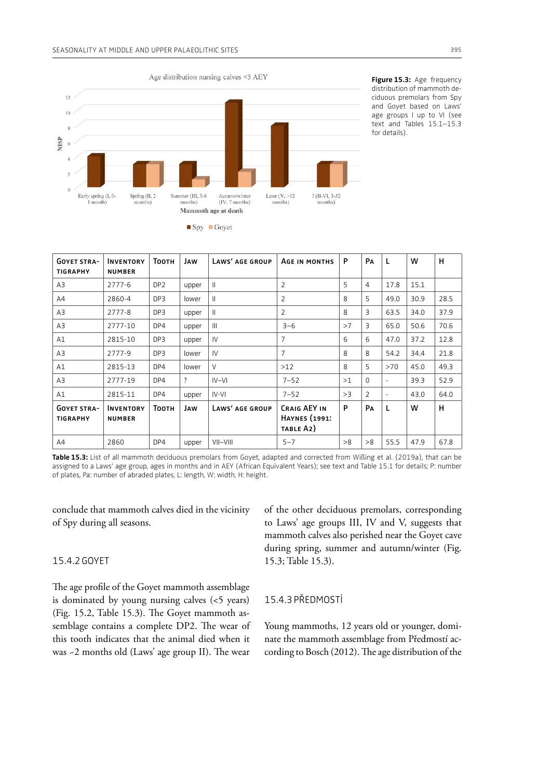

**Figure 15.3:** Age frequency distribution of mammoth deciduous premolars from Spy and Goyet based on Laws' age groups I up to VI (see text and Tables 15.1–15.3 for details).

| <b>GOYET STRA-</b>                    | <b>INVENTORY</b>                  | Тоотн           | JAW            | LAWS' AGE GROUP | AGE IN MONTHS                                     | P            | PA             | L      | W    | н    |
|---------------------------------------|-----------------------------------|-----------------|----------------|-----------------|---------------------------------------------------|--------------|----------------|--------|------|------|
| <b>TIGRAPHY</b>                       | <b>NUMBER</b>                     |                 |                |                 |                                                   |              |                |        |      |      |
| A3                                    | 2777-6                            | DP <sub>2</sub> | upper          | $\mathbf{H}$    | $\overline{2}$                                    | 5            | 4              | 17.8   | 15.1 |      |
| A4                                    | 2860-4                            | DP3             | lower          | $\mathbf{H}$    | $\overline{2}$                                    | $\mathsf{R}$ | 5              | 49.0   | 30.9 | 28.5 |
| A3                                    | 2777-8                            | DP3             | upper          | $\mathbf{I}$    | 2                                                 | 8            | 3              | 63.5   | 34.0 | 37.9 |
| A3                                    | 2777-10                           | DP4             | upper          | $\mathbf{III}$  | $3 - 6$                                           | >7           | 3              | 65.0   | 50.6 | 70.6 |
| A1                                    | 2815-10                           | DP3             | upper          | IV              | $\overline{7}$                                    | 6            | 6              | 47.0   | 37.2 | 12.8 |
| A3                                    | 2777-9                            | DP3             | lower          | $\mathsf{IV}$   | $\overline{7}$                                    | 8            | 8              | 54.2   | 34.4 | 21.8 |
| A1                                    | 2815-13                           | DP4             | lower          | $\vee$          | $>12$                                             | $\mathsf{R}$ | 5              | >70    | 45.0 | 49.3 |
| A3                                    | 2777-19                           | DP4             | $\overline{?}$ | $IV-VI$         | $7 - 52$                                          | >1           | $\Omega$       | $\sim$ | 39.3 | 52.9 |
| A1                                    | 2815-11                           | DP4             | upper          | $IV-VI$         | $7 - 52$                                          | >3           | $\overline{2}$ | $\sim$ | 43.0 | 64.0 |
| <b>GOYET STRA-</b><br><b>TIGRAPHY</b> | <b>INVENTORY</b><br><b>NUMBER</b> | Тоотн           | JAW            | LAWS' AGE GROUP | CRAIG AEY IN<br><b>HAYNES</b> (1991:<br>TABLE A2) | P            | PA             | L      | w    | н    |
| A4                                    | 2860                              | DP4             | upper          | VII-VIII        | $5 - 7$                                           | >8           | >8             | 55.5   | 47.9 | 67.8 |

**Table 15.3:** List of all mammoth deciduous premolars from Goyet, adapted and corrected from Wißing et al. (2019a), that can be assigned to a Laws' age group, ages in months and in AEY (African Equivalent Years); see text and Table 15.1 for details; P: number of plates, Pa: number of abraded plates, L: length, W: width, H: height.

conclude that mammoth calves died in the vicinity of Spy during all seasons.

# 15.4.2GOYET

The age profile of the Goyet mammoth assemblage is dominated by young nursing calves (<5 years) (Fig. 15.2, Table 15.3). The Goyet mammoth assemblage contains a complete DP2. The wear of this tooth indicates that the animal died when it was -2 months old (Laws' age group II). The wear

of the other deciduous premolars, corresponding to Laws' age groups III, IV and V, suggests that mammoth calves also perished near the Goyet cave during spring, summer and autumn/winter (Fig. 15.3; Table 15.3).

15.4.3PŘEDMOSTÍ

Young mammoths, 12 years old or younger, dominate the mammoth assemblage from Předmostí according to Bosch (2012). The age distribution of the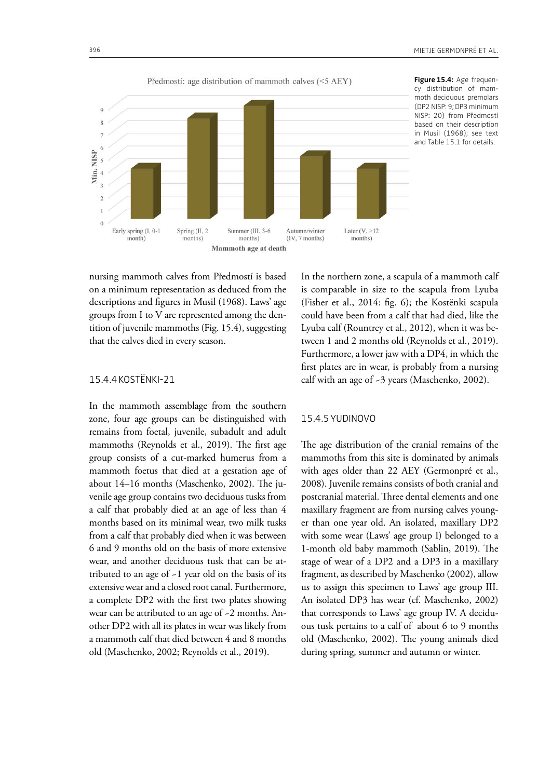

**Figure 15.4:** Age frequency distribution of mammoth deciduous premolars (DP2 NISP: 9; DP3 minimum NISP: 20) from Předmostí based on their description in Musil (1968); see text and Table 15.1 for details.

nursing mammoth calves from Předmostí is based on a minimum representation as deduced from the descriptions and fgures in Musil (1968). Laws' age groups from I to V are represented among the dentition of juvenile mammoths (Fig. 15.4), suggesting that the calves died in every season.

# 15.4.4KOSTËNKI-21

In the mammoth assemblage from the southern zone, four age groups can be distinguished with remains from foetal, juvenile, subadult and adult mammoths (Reynolds et al., 2019). The first age group consists of a cut-marked humerus from a mammoth foetus that died at a gestation age of about 14–16 months (Maschenko, 2002). The juvenile age group contains two deciduous tusks from a calf that probably died at an age of less than 4 months based on its minimal wear, two milk tusks from a calf that probably died when it was between 6 and 9 months old on the basis of more extensive wear, and another deciduous tusk that can be attributed to an age of  $-1$  year old on the basis of its extensive wear and a closed root canal. Furthermore, a complete DP2 with the frst two plates showing wear can be attributed to an age of ~2 months. Another DP2 with all its plates in wear was likely from a mammoth calf that died between 4 and 8 months old (Maschenko, 2002; Reynolds et al., 2019).

In the northern zone, a scapula of a mammoth calf is comparable in size to the scapula from Lyuba (Fisher et al., 2014: fg. 6); the Kostënki scapula could have been from a calf that had died, like the Lyuba calf (Rountrey et al., 2012), when it was between 1 and 2 months old (Reynolds et al., 2019). Furthermore, a lower jaw with a DP4, in which the frst plates are in wear, is probably from a nursing calf with an age of ~3 years (Maschenko, 2002).

# 15.4.5YUDINOVO

The age distribution of the cranial remains of the mammoths from this site is dominated by animals with ages older than 22 AEY (Germonpré et al., 2008). Juvenile remains consists of both cranial and postcranial material. Three dental elements and one maxillary fragment are from nursing calves younger than one year old. An isolated, maxillary DP2 with some wear (Laws' age group I) belonged to a 1-month old baby mammoth (Sablin, 2019). The stage of wear of a DP2 and a DP3 in a maxillary fragment, as described by Maschenko (2002), allow us to assign this specimen to Laws' age group III. An isolated DP3 has wear (cf. Maschenko, 2002) that corresponds to Laws' age group IV. A deciduous tusk pertains to a calf of about 6 to 9 months old (Maschenko, 2002). The young animals died during spring, summer and autumn or winter.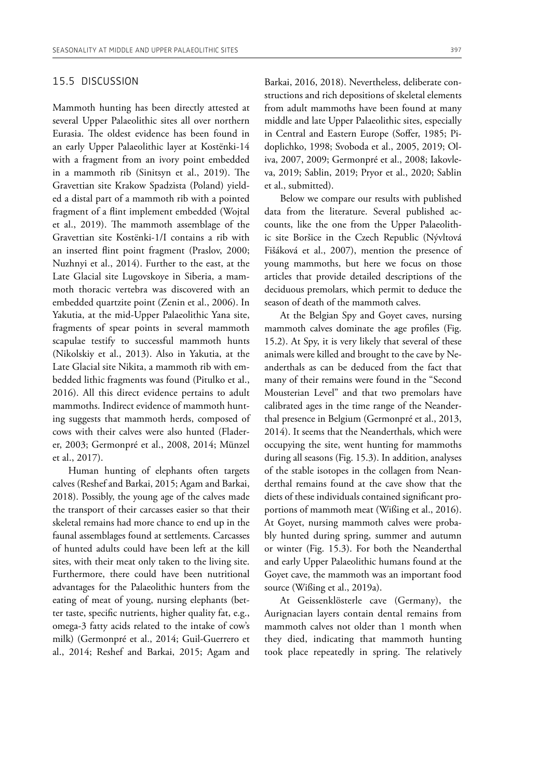## 15.5 DISCUSSION

Mammoth hunting has been directly attested at several Upper Palaeolithic sites all over northern Eurasia. The oldest evidence has been found in an early Upper Palaeolithic layer at Kostënki-14 with a fragment from an ivory point embedded in a mammoth rib (Sinitsyn et al., 2019). The Gravettian site Krakow Spadzista (Poland) yielded a distal part of a mammoth rib with a pointed fragment of a fint implement embedded (Wojtal et al., 2019). The mammoth assemblage of the Gravettian site Kostënki-1/I contains a rib with an inserted fint point fragment (Praslov, 2000; Nuzhnyi et al., 2014). Further to the east, at the Late Glacial site Lugovskoye in Siberia, a mammoth thoracic vertebra was discovered with an embedded quartzite point (Zenin et al., 2006). In Yakutia, at the mid-Upper Palaeolithic Yana site, fragments of spear points in several mammoth scapulae testify to successful mammoth hunts (Nikolskiy et al., 2013). Also in Yakutia, at the Late Glacial site Nikita, a mammoth rib with embedded lithic fragments was found (Pitulko et al., 2016). All this direct evidence pertains to adult mammoths. Indirect evidence of mammoth hunting suggests that mammoth herds, composed of cows with their calves were also hunted (Fladerer, 2003; Germonpré et al., 2008, 2014; Münzel et al., 2017).

Human hunting of elephants often targets calves (Reshef and Barkai, 2015; Agam and Barkai, 2018). Possibly, the young age of the calves made the transport of their carcasses easier so that their skeletal remains had more chance to end up in the faunal assemblages found at settlements. Carcasses of hunted adults could have been left at the kill sites, with their meat only taken to the living site. Furthermore, there could have been nutritional advantages for the Palaeolithic hunters from the eating of meat of young, nursing elephants (better taste, specifc nutrients, higher quality fat, e.g., omega-3 fatty acids related to the intake of cow's milk) (Germonpré et al., 2014; Guil-Guerrero et al., 2014; Reshef and Barkai, 2015; Agam and Barkai, 2016, 2018). Nevertheless, deliberate constructions and rich depositions of skeletal elements from adult mammoths have been found at many middle and late Upper Palaeolithic sites, especially in Central and Eastern Europe (Soffer, 1985; Pidoplichko, 1998; Svoboda et al., 2005, 2019; Oliva, 2007, 2009; Germonpré et al., 2008; Iakovleva, 2019; Sablin, 2019; Pryor et al., 2020; Sablin et al., submitted).

Below we compare our results with published data from the literature. Several published accounts, like the one from the Upper Palaeolithic site Boršice in the Czech Republic (Nývltová Fišáková et al., 2007), mention the presence of young mammoths, but here we focus on those articles that provide detailed descriptions of the deciduous premolars, which permit to deduce the season of death of the mammoth calves.

At the Belgian Spy and Goyet caves, nursing mammoth calves dominate the age profles (Fig. 15.2). At Spy, it is very likely that several of these animals were killed and brought to the cave by Neanderthals as can be deduced from the fact that many of their remains were found in the "Second Mousterian Level" and that two premolars have calibrated ages in the time range of the Neanderthal presence in Belgium (Germonpré et al., 2013, 2014). It seems that the Neanderthals, which were occupying the site, went hunting for mammoths during all seasons (Fig. 15.3). In addition, analyses of the stable isotopes in the collagen from Neanderthal remains found at the cave show that the diets of these individuals contained signifcant proportions of mammoth meat (Wißing et al., 2016). At Goyet, nursing mammoth calves were probably hunted during spring, summer and autumn or winter (Fig. 15.3). For both the Neanderthal and early Upper Palaeolithic humans found at the Goyet cave, the mammoth was an important food source (Wißing et al., 2019a).

At Geissenklösterle cave (Germany), the Aurignacian layers contain dental remains from mammoth calves not older than 1 month when they died, indicating that mammoth hunting took place repeatedly in spring. The relatively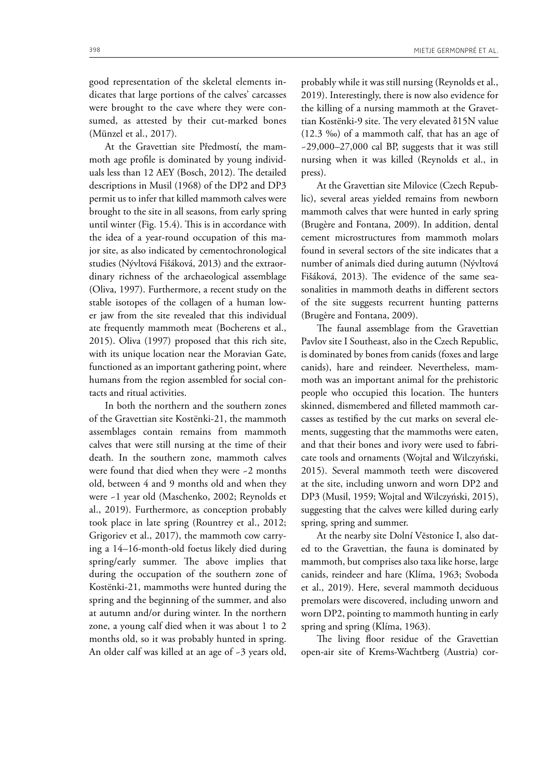good representation of the skeletal elements indicates that large portions of the calves' carcasses were brought to the cave where they were consumed, as attested by their cut-marked bones (Münzel et al., 2017).

At the Gravettian site Předmostí, the mammoth age profle is dominated by young individuals less than 12 AEY (Bosch, 2012). The detailed descriptions in Musil (1968) of the DP2 and DP3 permit us to infer that killed mammoth calves were brought to the site in all seasons, from early spring until winter (Fig. 15.4). This is in accordance with the idea of a year-round occupation of this major site, as also indicated by cementochronological studies (Nývltová Fišáková, 2013) and the extraordinary richness of the archaeological assemblage (Oliva, 1997). Furthermore, a recent study on the stable isotopes of the collagen of a human lower jaw from the site revealed that this individual ate frequently mammoth meat (Bocherens et al., 2015). Oliva (1997) proposed that this rich site, with its unique location near the Moravian Gate, functioned as an important gathering point, where humans from the region assembled for social contacts and ritual activities.

In both the northern and the southern zones of the Gravettian site Kostënki-21, the mammoth assemblages contain remains from mammoth calves that were still nursing at the time of their death. In the southern zone, mammoth calves were found that died when they were -2 months old, between 4 and 9 months old and when they were ~1 year old (Maschenko, 2002; Reynolds et al., 2019). Furthermore, as conception probably took place in late spring (Rountrey et al., 2012; Grigoriev et al., 2017), the mammoth cow carrying a 14–16-month-old foetus likely died during spring/early summer. The above implies that during the occupation of the southern zone of Kostënki-21, mammoths were hunted during the spring and the beginning of the summer, and also at autumn and/or during winter. In the northern zone, a young calf died when it was about 1 to 2 months old, so it was probably hunted in spring. An older calf was killed at an age of ~3 years old,

probably while it was still nursing (Reynolds et al., 2019). Interestingly, there is now also evidence for the killing of a nursing mammoth at the Gravettian Kostënki-9 site. The very elevated δ15N value (12.3 ‰) of a mammoth calf, that has an age of  $-29,000-27,000$  cal BP, suggests that it was still nursing when it was killed (Reynolds et al., in press).

At the Gravettian site Milovice (Czech Republic), several areas yielded remains from newborn mammoth calves that were hunted in early spring (Brugère and Fontana, 2009). In addition, dental cement microstructures from mammoth molars found in several sectors of the site indicates that a number of animals died during autumn (Nývltová Fišáková, 2013). The evidence of the same seasonalities in mammoth deaths in diferent sectors of the site suggests recurrent hunting patterns (Brugère and Fontana, 2009).

The faunal assemblage from the Gravettian Pavlov site I Southeast, also in the Czech Republic, is dominated by bones from canids (foxes and large canids), hare and reindeer. Nevertheless, mammoth was an important animal for the prehistoric people who occupied this location. The hunters skinned, dismembered and flleted mammoth carcasses as testifed by the cut marks on several elements, suggesting that the mammoths were eaten, and that their bones and ivory were used to fabricate tools and ornaments (Wojtal and Wilczyński, 2015). Several mammoth teeth were discovered at the site, including unworn and worn DP2 and DP3 (Musil, 1959; Wojtal and Wilczyński, 2015), suggesting that the calves were killed during early spring, spring and summer.

At the nearby site Dolní Vĕstonice I, also dated to the Gravettian, the fauna is dominated by mammoth, but comprises also taxa like horse, large canids, reindeer and hare (Klíma, 1963; Svoboda et al., 2019). Here, several mammoth deciduous premolars were discovered, including unworn and worn DP2, pointing to mammoth hunting in early spring and spring (Klíma, 1963).

The living floor residue of the Gravettian open-air site of Krems-Wachtberg (Austria) cor-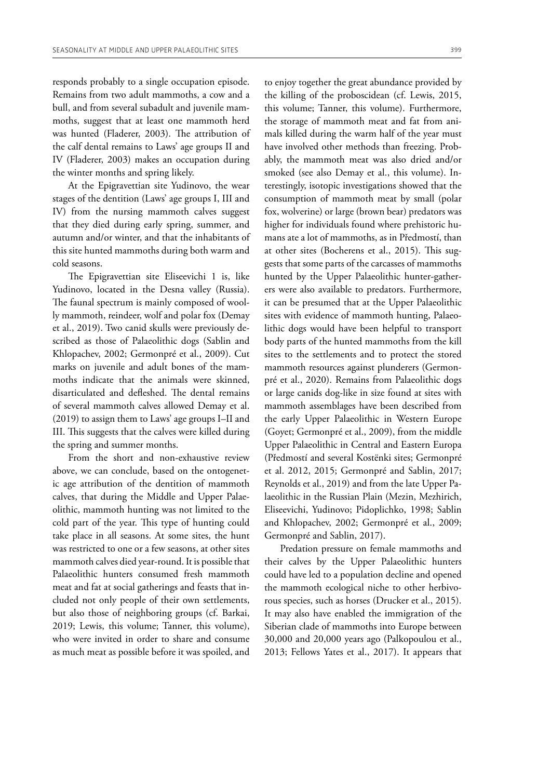responds probably to a single occupation episode. Remains from two adult mammoths, a cow and a bull, and from several subadult and juvenile mammoths, suggest that at least one mammoth herd was hunted (Fladerer, 2003). The attribution of the calf dental remains to Laws' age groups II and IV (Fladerer, 2003) makes an occupation during the winter months and spring likely.

At the Epigravettian site Yudinovo, the wear stages of the dentition (Laws' age groups I, III and IV) from the nursing mammoth calves suggest that they died during early spring, summer, and autumn and/or winter, and that the inhabitants of this site hunted mammoths during both warm and cold seasons.

The Epigravettian site Eliseevichi 1 is, like Yudinovo, located in the Desna valley (Russia). The faunal spectrum is mainly composed of woolly mammoth, reindeer, wolf and polar fox (Demay et al., 2019). Two canid skulls were previously described as those of Palaeolithic dogs (Sablin and Khlopachev, 2002; Germonpré et al., 2009). Cut marks on juvenile and adult bones of the mammoths indicate that the animals were skinned, disarticulated and defleshed. The dental remains of several mammoth calves allowed Demay et al. (2019) to assign them to Laws' age groups I–II and III. This suggests that the calves were killed during the spring and summer months.

From the short and non-exhaustive review above, we can conclude, based on the ontogenetic age attribution of the dentition of mammoth calves, that during the Middle and Upper Palaeolithic, mammoth hunting was not limited to the cold part of the year. This type of hunting could take place in all seasons. At some sites, the hunt was restricted to one or a few seasons, at other sites mammoth calves died year-round. It is possible that Palaeolithic hunters consumed fresh mammoth meat and fat at social gatherings and feasts that included not only people of their own settlements, but also those of neighboring groups (cf. Barkai, 2019; Lewis, this volume; Tanner, this volume), who were invited in order to share and consume as much meat as possible before it was spoiled, and

to enjoy together the great abundance provided by the killing of the proboscidean (cf. Lewis, 2015, this volume; Tanner, this volume). Furthermore, the storage of mammoth meat and fat from animals killed during the warm half of the year must have involved other methods than freezing. Probably, the mammoth meat was also dried and/or smoked (see also Demay et al., this volume). Interestingly, isotopic investigations showed that the consumption of mammoth meat by small (polar fox, wolverine) or large (brown bear) predators was higher for individuals found where prehistoric humans ate a lot of mammoths, as in Předmostí, than at other sites (Bocherens et al., 2015). This suggests that some parts of the carcasses of mammoths hunted by the Upper Palaeolithic hunter-gatherers were also available to predators. Furthermore, it can be presumed that at the Upper Palaeolithic sites with evidence of mammoth hunting, Palaeolithic dogs would have been helpful to transport body parts of the hunted mammoths from the kill sites to the settlements and to protect the stored mammoth resources against plunderers (Germonpré et al., 2020). Remains from Palaeolithic dogs or large canids dog-like in size found at sites with mammoth assemblages have been described from the early Upper Palaeolithic in Western Europe (Goyet; Germonpré et al., 2009), from the middle Upper Palaeolithic in Central and Eastern Europa (Předmostí and several Kostënki sites; Germonpré et al. 2012, 2015; Germonpré and Sablin, 2017; Reynolds et al., 2019) and from the late Upper Palaeolithic in the Russian Plain (Mezin, Mezhirich, Eliseevichi, Yudinovo; Pidoplichko, 1998; Sablin and Khlopachev, 2002; Germonpré et al., 2009; Germonpré and Sablin, 2017).

Predation pressure on female mammoths and their calves by the Upper Palaeolithic hunters could have led to a population decline and opened the mammoth ecological niche to other herbivorous species, such as horses (Drucker et al., 2015). It may also have enabled the immigration of the Siberian clade of mammoths into Europe between 30,000 and 20,000 years ago (Palkopoulou et al., 2013; Fellows Yates et al., 2017). It appears that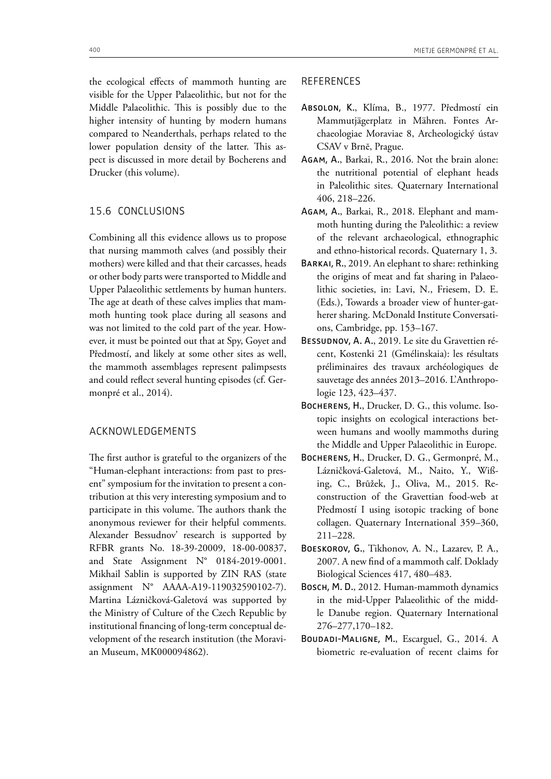the ecological efects of mammoth hunting are visible for the Upper Palaeolithic, but not for the Middle Palaeolithic. This is possibly due to the higher intensity of hunting by modern humans compared to Neanderthals, perhaps related to the lower population density of the latter. This aspect is discussed in more detail by Bocherens and Drucker (this volume).

# 15.6 CONCLUSIONS

Combining all this evidence allows us to propose that nursing mammoth calves (and possibly their mothers) were killed and that their carcasses, heads or other body parts were transported to Middle and Upper Palaeolithic settlements by human hunters. The age at death of these calves implies that mammoth hunting took place during all seasons and was not limited to the cold part of the year. However, it must be pointed out that at Spy, Goyet and Předmostí, and likely at some other sites as well, the mammoth assemblages represent palimpsests and could refect several hunting episodes (cf. Germonpré et al., 2014).

# ACKNOWLEDGEMENTS

The first author is grateful to the organizers of the "Human-elephant interactions: from past to present" symposium for the invitation to present a contribution at this very interesting symposium and to participate in this volume. The authors thank the anonymous reviewer for their helpful comments. Alexander Bessudnov' research is supported by RFBR grants No. 18-39-20009, 18-00-00837, and State Assignment N° 0184-2019-0001. Mikhail Sablin is supported by ZIN RAS (state assignment N° AAAA-A19-119032590102-7). Martina Lázničková-Galetová was supported by the Ministry of Culture of the Czech Republic by institutional fnancing of long-term conceptual development of the research institution (the Moravian Museum, MK000094862).

# REFERENCES

- Absolon, K., Klíma, B., 1977. Předmostí ein Mammutjägerplatz in Mähren. Fontes Archaeologiae Moraviae 8, Archeologický ústav CSAV v Brnĕ, Prague.
- Agam, A., Barkai, R., 2016. Not the brain alone: the nutritional potential of elephant heads in Paleolithic sites. Quaternary International 406, 218–226.
- Agam, A., Barkai, R., 2018. Elephant and mammoth hunting during the Paleolithic: a review of the relevant archaeological, ethnographic and ethno-historical records. Quaternary 1, 3.
- Barkai, R., 2019. An elephant to share: rethinking the origins of meat and fat sharing in Palaeolithic societies, in: Lavi, N., Friesem, D. E. (Eds.), Towards a broader view of hunter-gatherer sharing. McDonald Institute Conversations, Cambridge, pp. 153–167.
- Bessudnov, A. A., 2019. Le site du Gravettien récent, Kostenki 21 (Gmélinskaia): les résultats préliminaires des travaux archéologiques de sauvetage des années 2013–2016. L'Anthropologie 123, 423–437.
- BOCHERENS, H., Drucker, D. G., this volume. Isotopic insights on ecological interactions between humans and woolly mammoths during the Middle and Upper Palaeolithic in Europe.
- Bocherens, H., Drucker, D. G., Germonpré, M., Lázničková-Galetová, M., Naito, Y., Wißing, C., Brůžek, J., Oliva, M., 2015. Reconstruction of the Gravettian food-web at Předmostí I using isotopic tracking of bone collagen. Quaternary International 359–360, 211–228.
- Boeskorov, G., Tikhonov, A. N., Lazarev, P. A., 2007. A new fnd of a mammoth calf. Doklady Biological Sciences 417, 480–483.
- Bosch, M. D., 2012. Human-mammoth dynamics in the mid-Upper Palaeolithic of the middle Danube region. Quaternary International 276–277,170–182.
- Boudadi-Maligne, M., Escarguel, G., 2014. A biometric re-evaluation of recent claims for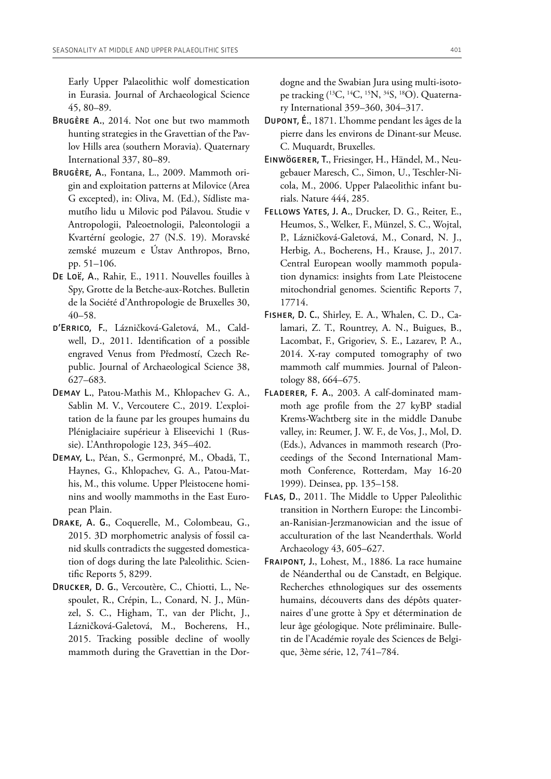Early Upper Palaeolithic wolf domestication in Eurasia. Journal of Archaeological Science 45, 80–89.

- BRUGÈRE A., 2014. Not one but two mammoth hunting strategies in the Gravettian of the Pavlov Hills area (southern Moravia). Quaternary International 337, 80–89.
- Brugère, A., Fontana, L., 2009. Mammoth origin and exploitation patterns at Milovice (Area G excepted), in: Oliva, M. (Ed.), Sídliste mamutího lidu u Milovic pod Pálavou. Studie v Antropologii, Paleoetnologii, Paleontologii a Kvartérní geologie, 27 (N.S. 19). Moravské zemské muzeum e Ústav Anthropos, Brno, pp. 51–106.
- De Loë, A., Rahir, E., 1911. Nouvelles fouilles à Spy, Grotte de la Betche-aux-Rotches. Bulletin de la Société d'Anthropologie de Bruxelles 30, 40–58.
- d'Errico, F., Lázničková-Galetová, M., Caldwell, D., 2011. Identifcation of a possible engraved Venus from Předmostí, Czech Republic. Journal of Archaeological Science 38, 627–683.
- Demay L., Patou-Mathis M., Khlopachev G. A., Sablin M. V., Vercoutere C., 2019. L'exploitation de la faune par les groupes humains du Pléniglaciaire supérieur à Eliseevichi 1 (Russie). L'Anthropologie 123, 345–402.
- Demay, L., Péan, S., Germonpré, M., Obadă, T., Haynes, G., Khlopachev, G. A., Patou-Mathis, M., this volume. Upper Pleistocene hominins and woolly mammoths in the East European Plain.
- Drake, A. G., Coquerelle, M., Colombeau, G., 2015. 3D morphometric analysis of fossil canid skulls contradicts the suggested domestication of dogs during the late Paleolithic. Scientifc Reports 5, 8299.
- Drucker, D. G., Vercoutère, C., Chiotti, L., Nespoulet, R., Crépin, L., Conard, N. J., Münzel, S. C., Higham, T., van der Plicht, J., Lázničková-Galetová, M., Bocherens, H., 2015. Tracking possible decline of woolly mammoth during the Gravettian in the Dor-

dogne and the Swabian Jura using multi-isotope tracking (<sup>13</sup>C, <sup>14</sup>C, <sup>15</sup>N, <sup>34</sup>S, <sup>18</sup>O). Quaternary International 359–360, 304–317.

- Dupont, É., 1871. L'homme pendant les âges de la pierre dans les environs de Dinant-sur Meuse. C. Muquardt, Bruxelles.
- Einwögerer, T., Friesinger, H., Händel, M., Neugebauer Maresch, C., Simon, U., Teschler-Nicola, M., 2006. Upper Palaeolithic infant burials. Nature 444, 285.
- Fellows Yates, J. A., Drucker, D. G., Reiter, E., Heumos, S., Welker, F., Münzel, S. C., Wojtal, P., Lázničková-Galetová, M., Conard, N. J., Herbig, A., Bocherens, H., Krause, J., 2017. Central European woolly mammoth population dynamics: insights from Late Pleistocene mitochondrial genomes. Scientifc Reports 7, 17714.
- Fisher, D. C., Shirley, E. A., Whalen, C. D., Calamari, Z. T., Rountrey, A. N., Buigues, B., Lacombat, F., Grigoriev, S. E., Lazarev, P. A., 2014. X-ray computed tomography of two mammoth calf mummies. Journal of Paleontology 88, 664–675.
- Fladerer, F. A., 2003. A calf-dominated mammoth age profle from the 27 kyBP stadial Krems-Wachtberg site in the middle Danube valley, in: Reumer, J. W. F., de Vos, J., Mol, D. (Eds.), Advances in mammoth research (Proceedings of the Second International Mammoth Conference, Rotterdam, May 16-20 1999). Deinsea, pp. 135–158.
- FLAS, D., 2011. The Middle to Upper Paleolithic transition in Northern Europe: the Lincombian-Ranisian-Jerzmanowician and the issue of acculturation of the last Neanderthals. World Archaeology 43, 605–627.
- Fraipont, J., Lohest, M., 1886. La race humaine de Néanderthal ou de Canstadt, en Belgique. Recherches ethnologiques sur des ossements humains, découverts dans des dépôts quaternaires d'une grotte à Spy et détermination de leur âge géologique. Note préliminaire. Bulletin de l'Académie royale des Sciences de Belgique, 3ème série, 12, 741–784.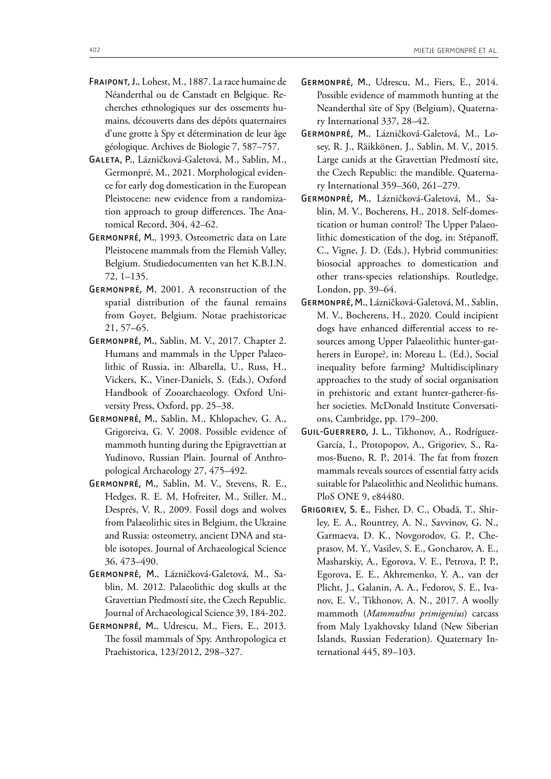- Fraipont, J., Lohest, M., 1887. La race humaine de Néanderthal ou de Canstadt en Belgique. Recherches ethnologiques sur des ossements humains, découverts dans des dépôts quaternaires d'une grotte à Spy et détermination de leur âge géologique. Archives de Biologie 7, 587–757.
- Galeta, P., Lázničková-Galetová, M., Sablin, M., Germonpré, M., 2021. Morphological evidence for early dog domestication in the European Pleistocene: new evidence from a randomization approach to group differences. The Anatomical Record, 304, 42–62.
- Germonpré, M., 1993. Osteometric data on Late Pleistocene mammals from the Flemish Valley, Belgium. Studiedocumenten van het K.B.I.N. 72, 1–135.
- Germonpré, M. 2001. A reconstruction of the spatial distribution of the faunal remains from Goyet, Belgium. Notae praehistoricae 21, 57–65.
- Germonpré, M., Sablin, M. V., 2017. Chapter 2. Humans and mammals in the Upper Palaeolithic of Russia, in: Albarella, U., Russ, H., Vickers, K., Viner-Daniels, S. (Eds.), Oxford Handbook of Zooarchaeology. Oxford University Press, Oxford, pp. 25–38.
- Germonpré, M., Sablin, M., Khlopachev, G. A., Grigoreiva, G. V. 2008. Possible evidence of mammoth hunting during the Epigravettian at Yudinovo, Russian Plain. Journal of Anthropological Archaeology 27, 475–492.
- Germonpré, M., Sablin, M. V., Stevens, R. E., Hedges, R. E. M, Hofreiter, M., Stiller, M., Després, V. R., 2009. Fossil dogs and wolves from Palaeolithic sites in Belgium, the Ukraine and Russia: osteometry, ancient DNA and stable isotopes. Journal of Archaeological Science 36, 473–490.
- Germonpré, M., Lázničková-Galetová, M., Sablin, M. 2012. Palaeolithic dog skulls at the Gravettian Předmostí site, the Czech Republic. Journal of Archaeological Science 39, 184-202.
- Germonpré, M., Udrescu, M., Fiers, E., 2013. The fossil mammals of Spy. Anthropologica et Praehistorica, 123/2012, 298–327.
- Germonpré, M., Udrescu, M., Fiers, E., 2014. Possible evidence of mammoth hunting at the Neanderthal site of Spy (Belgium), Quaternary International 337, 28–42.
- Germonpré, M., Lázničková-Galetová, M., Losey, R. J., Räikkönen, J., Sablin, M. V., 2015. Large canids at the Gravettian Předmostí site, the Czech Republic: the mandible. Quaternary International 359–360, 261–279.
- Germonpré, M., Lázničková-Galetová, M., Sablin, M. V., Bocherens, H., 2018. Self-domestication or human control? The Upper Palaeolithic domestication of the dog, in: Stépanof, C., Vigne, J. D. (Eds.), Hybrid communities: biosocial approaches to domestication and other trans-species relationships. Routledge, London, pp. 39–64.
- Germonpré, M., Lázničková-Galetová, M., Sablin, M. V., Bocherens, H., 2020. Could incipient dogs have enhanced diferential access to resources among Upper Palaeolithic hunter-gatherers in Europe?, in: Moreau L. (Ed.), Social inequality before farming? Multidisciplinary approaches to the study of social organisation in prehistoric and extant hunter-gatherer-fsher societies. McDonald Institute Conversations, Cambridge, pp. 179–200.
- Guil-Guerrero, J. L., Tikhonov, A., Rodríguez-García, I., Protopopov, A., Grigoriev, S., Ramos-Bueno, R. P., 2014. The fat from frozen mammals reveals sources of essential fatty acids suitable for Palaeolithic and Neolithic humans. PloS ONE 9, e84480.
- Grigoriev, S. E., Fisher, D. C., Obadă, T., Shirley, E. A., Rountrey, A. N., Savvinov, G. N., Garmaeva, D. K., Novgorodov, G. P., Cheprasov, M. Y., Vasilev, S. E., Goncharov, A. E., Masharskiy, A., Egorova, V. E., Petrova, P. P., Egorova, E. E., Akhremenko, Y. A., van der Plicht, J., Galanin, A. A., Fedorov, S. E., Ivanov, E. V., Tikhonov, A. N., 2017. A woolly mammoth (*Mammuthus primigenius*) carcass from Maly Lyakhovsky Island (New Siberian Islands, Russian Federation). Quaternary International 445, 89–103.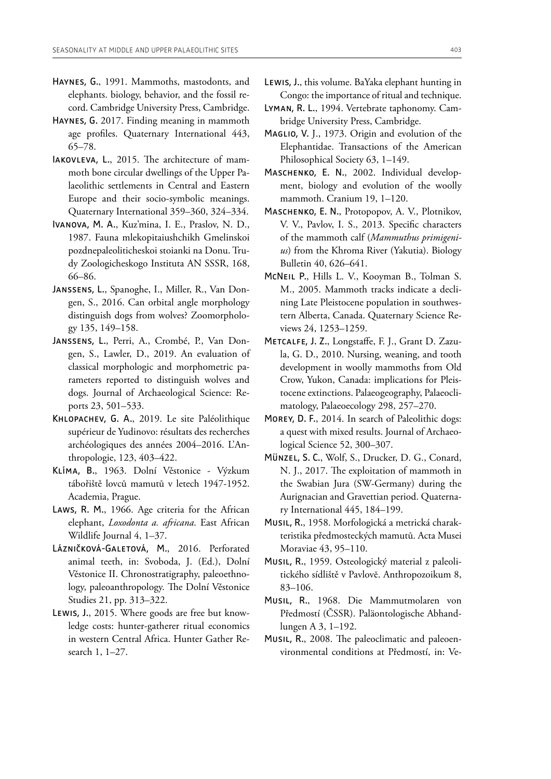- Haynes, G., 1991. Mammoths, mastodonts, and elephants. biology, behavior, and the fossil record. Cambridge University Press, Cambridge.
- Haynes, G. 2017. Finding meaning in mammoth age profles. Quaternary International 443, 65–78.
- IAKOVLEVA, L., 2015. The architecture of mammoth bone circular dwellings of the Upper Palaeolithic settlements in Central and Eastern Europe and their socio-symbolic meanings. Quaternary International 359–360, 324–334.
- Ivanova, M. A., Kuz'mina, I. E., Praslov, N. D., 1987. Fauna mlekopitaiushchikh Gmelinskoi pozdnepaleoliticheskoi stoianki na Donu. Trudy Zoologicheskogo Instituta AN SSSR, 168, 66–86.
- Janssens, L., Spanoghe, I., Miller, R., Van Dongen, S., 2016. Can orbital angle morphology distinguish dogs from wolves? Zoomorphology 135, 149–158.
- Janssens, L., Perri, A., Crombé, P., Van Dongen, S., Lawler, D., 2019. An evaluation of classical morphologic and morphometric parameters reported to distinguish wolves and dogs. Journal of Archaeological Science: Reports 23, 501–533.
- Khlopachev, G. A., 2019. Le site Paléolithique supérieur de Yudinovo: résultats des recherches archéologiques des années 2004–2016. L'Anthropologie, 123, 403–422.
- Klíma, B., 1963. Dolní Věstonice Výzkum tábořiště lovců mamutů v letech 1947-1952. Academia, Prague.
- Laws, R. M., 1966. Age criteria for the African elephant, *Loxodonta a. africana*. East African Wildlife Journal 4, 1–37.
- Lázničková-Galetová, M., 2016. Perforated animal teeth, in: Svoboda, J. (Ed.), Dolní Věstonice II. Chronostratigraphy, paleoethnology, paleoanthropology. The Dolní Věstonice Studies 21, pp. 313–322.
- Lewis, J., 2015. Where goods are free but knowledge costs: hunter-gatherer ritual economics in western Central Africa. Hunter Gather Research 1, 1–27.
- Lewis, J., this volume. BaYaka elephant hunting in Congo: the importance of ritual and technique.
- Lyman, R. L., 1994. Vertebrate taphonomy. Cambridge University Press, Cambridge.
- MAGLIO, V. J., 1973. Origin and evolution of the Elephantidae. Transactions of the American Philosophical Society 63, 1–149.
- Maschenko, E. N., 2002. Individual development, biology and evolution of the woolly mammoth. Cranium 19, 1–120.
- Maschenko, E. N., Protopopov, A. V., Plotnikov, V. V., Pavlov, I. S., 2013. Specifc characters of the mammoth calf (*Mammuthus primigenius*) from the Khroma River (Yakutia). Biology Bulletin 40, 626–641.
- McNeil P., Hills L. V., Kooyman B., Tolman S. M., 2005. Mammoth tracks indicate a declining Late Pleistocene population in southwestern Alberta, Canada. Quaternary Science Reviews 24, 1253–1259.
- Metcalfe, J. Z., Longstafe, F. J., Grant D. Zazula, G. D., 2010. Nursing, weaning, and tooth development in woolly mammoths from Old Crow, Yukon, Canada: implications for Pleistocene extinctions. Palaeogeography, Palaeoclimatology, Palaeoecology 298, 257–270.
- Morey, D. F., 2014. In search of Paleolithic dogs: a quest with mixed results. Journal of Archaeological Science 52, 300–307.
- Münzel, S. C., Wolf, S., Drucker, D. G., Conard, N. J., 2017. The exploitation of mammoth in the Swabian Jura (SW-Germany) during the Aurignacian and Gravettian period. Quaternary International 445, 184–199.
- Musil, R., 1958. Morfologická a metrická charakteristika předmosteckých mamutů. Acta Musei Moraviae 43, 95–110.
- Musil, R., 1959. Osteologický material z paleolitického sídliště v Pavlovĕ. Anthropozoikum 8, 83–106.
- Musil, R., 1968. Die Mammutmolaren von Předmostí (ČSSR). Paläontologische Abhandlungen A 3, 1–192.
- Musil, R., 2008. The paleoclimatic and paleoenvironmental conditions at Předmostí, in: Ve-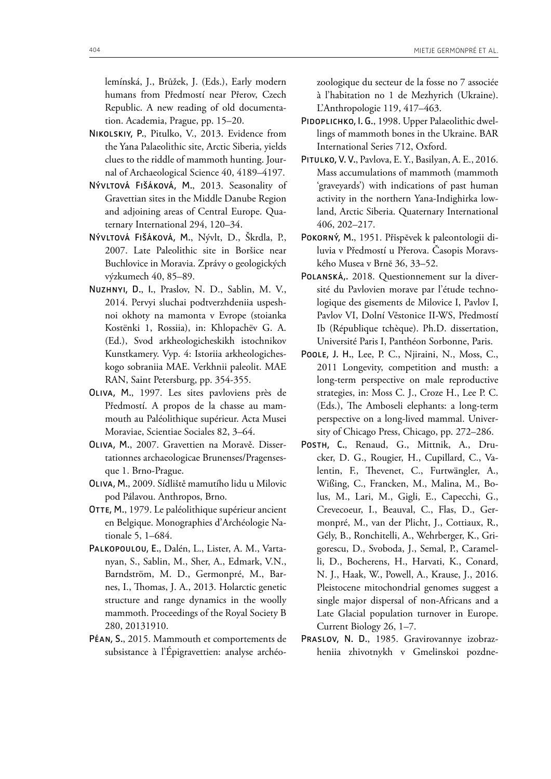lemínská, J., Brůžek, J. (Eds.), Early modern humans from Předmostí near Přerov, Czech Republic. A new reading of old documentation. Academia, Prague, pp. 15–20.

- Nikolskiy, P., Pitulko, V., 2013. Evidence from the Yana Palaeolithic site, Arctic Siberia, yields clues to the riddle of mammoth hunting. Journal of Archaeological Science 40, 4189–4197.
- Nývltová Fišáková, M., 2013. Seasonality of Gravettian sites in the Middle Danube Region and adjoining areas of Central Europe. Quaternary International 294, 120–34.
- Nývltová Fišáková, M., Nývlt, D., Škrdla, P., 2007. Late Paleolithic site in Boršice near Buchlovice in Moravia. Zprávy o geologických výzkumech 40, 85–89.
- Nuzhnyi, D., I., Praslov, N. D., Sablin, M. V., 2014. Pervyi sluchai podtverzhdeniia uspeshnoi okhoty na mamonta v Evrope (stoianka Kostënki 1, Rossiia), in: Khlopachëv G. A. (Ed.), Svod arkheologicheskikh istochnikov Kunstkamery. Vyp. 4: Istoriia arkheologicheskogo sobraniia MAE. Verkhnii paleolit. MAE RAN, Saint Petersburg, pp. 354-355.
- Oliva, M., 1997. Les sites pavloviens près de Předmostí. A propos de la chasse au mammouth au Paléolithique supérieur. Acta Musei Moraviae, Scientiae Sociales 82, 3–64.
- Oliva, M., 2007. Gravettien na Moravě. Dissertationnes archaeologicae Brunenses/Pragensesque 1. Brno-Prague.
- Oliva, M., 2009. Sídliště mamutího lidu u Milovic pod Pálavou. Anthropos, Brno.
- OTTE, M., 1979. Le paléolithique supérieur ancient en Belgique. Monographies d'Archéologie Nationale 5, 1–684.
- Palkopoulou, E., Dalén, L., Lister, A. M., Vartanyan, S., Sablin, M., Sher, A., Edmark, V.N., Barndström, M. D., Germonpré, M., Barnes, I., Tomas, J. A., 2013. Holarctic genetic structure and range dynamics in the woolly mammoth. Proceedings of the Royal Society B 280, 20131910.
- Péan, S., 2015. Mammouth et comportements de subsistance à l'Épigravettien: analyse archéo-

zoologique du secteur de la fosse no 7 associée à l'habitation no 1 de Mezhyrich (Ukraine). L'Anthropologie 119, 417–463.

- PIDOPLICHKO, I. G., 1998. Upper Palaeolithic dwellings of mammoth bones in the Ukraine. BAR International Series 712, Oxford.
- Pitulko, V. V., Pavlova, E. Y., Basilyan, A. E., 2016. Mass accumulations of mammoth (mammoth 'graveyards') with indications of past human activity in the northern Yana-Indighirka lowland, Arctic Siberia. Quaternary International 406, 202–217.
- POKORNÝ, M., 1951. Příspěvek k paleontologii diluvia v Předmostí u Přerova. Časopis Moravského Musea v Brnĕ 36, 33–52.
- Polanská,. 2018. Questionnement sur la diversité du Pavlovien morave par l'étude technologique des gisements de Milovice I, Pavlov I, Pavlov VI, Dolní Věstonice II-WS, Předmostí Ib (République tchèque). Ph.D. dissertation, Université Paris I, Panthéon Sorbonne, Paris.
- Poole, J. H., Lee, P. C., Njiraini, N., Moss, C., 2011 Longevity, competition and musth: a long-term perspective on male reproductive strategies, in: Moss C. J., Croze H., Lee P. C. (Eds.), The Amboseli elephants: a long-term perspective on a long-lived mammal. University of Chicago Press, Chicago, pp. 272–286.
- Posth, C., Renaud, G., Mittnik, A., Drucker, D. G., Rougier, H., Cupillard, C., Valentin, F., Thevenet, C., Furtwängler, A., Wißing, C., Francken, M., Malina, M., Bolus, M., Lari, M., Gigli, E., Capecchi, G., Crevecoeur, I., Beauval, C., Flas, D., Germonpré, M., van der Plicht, J., Cottiaux, R., Gély, B., Ronchitelli, A., Wehrberger, K., Grigorescu, D., Svoboda, J., Semal, P., Caramelli, D., Bocherens, H., Harvati, K., Conard, N. J., Haak, W., Powell, A., Krause, J., 2016. Pleistocene mitochondrial genomes suggest a single major dispersal of non-Africans and a Late Glacial population turnover in Europe. Current Biology 26, 1–7.
- PRASLOV, N. D., 1985. Gravirovannye izobrazheniia zhivotnykh v Gmelinskoi pozdne-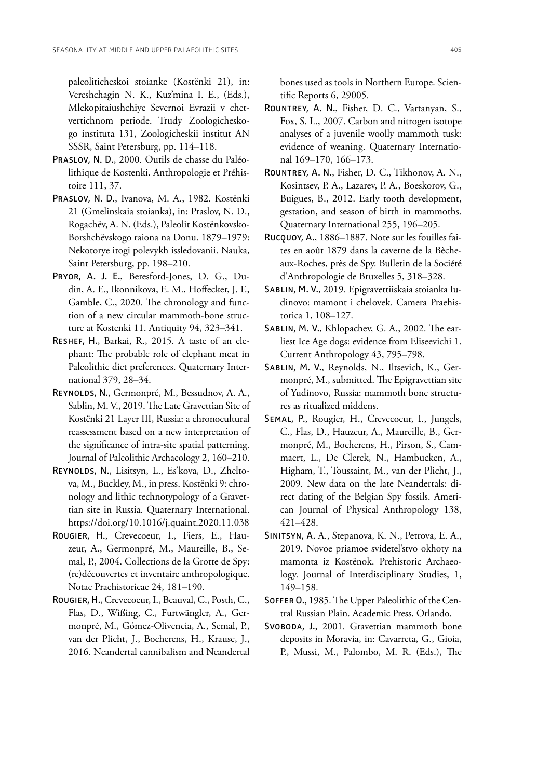paleoliticheskoi stoianke (Kostёnki 21), in: Vereshchagin N. K., Kuz'mina I. E., (Eds.), Mlekopitaiushchiye Severnoi Evrazii v chetvertichnom periode. Trudy Zoologicheskogo instituta 131, Zoologicheskii institut AN SSSR, Saint Petersburg, pp. 114–118.

- Praslov, N. D., 2000. Outils de chasse du Paléolithique de Kostenki. Anthropologie et Préhistoire 111, 37.
- Praslov, N. D., Ivanova, M. A., 1982. Kostënki 21 (Gmelinskaia stoianka), in: Praslov, N. D., Rogachëv, A. N. (Eds.), Paleolit Kostënkovsko-Borshchëvskogo raiona na Donu. 1879–1979: Nekotorye itogi polevykh issledovanii. Nauka, Saint Petersburg, pp. 198–210.
- Pryor, A. J. E., Beresford-Jones, D. G., Dudin, A. E., Ikonnikova, E. M., Hofecker, J. F., Gamble, C., 2020. The chronology and function of a new circular mammoth-bone structure at Kostenki 11. Antiquity 94, 323–341.
- Reshef, H., Barkai, R., 2015. A taste of an elephant: The probable role of elephant meat in Paleolithic diet preferences. Quaternary International 379, 28–34.
- Reynolds, N., Germonpré, M., Bessudnov, A. A., Sablin, M. V., 2019. The Late Gravettian Site of Kostënki 21 Layer III, Russia: a chronocultural reassessment based on a new interpretation of the signifcance of intra-site spatial patterning. Journal of Paleolithic Archaeology 2, 160–210.
- Reynolds, N., Lisitsyn, L., Es'kova, D., Zheltova, M., Buckley, M., in press. Kostënki 9: chronology and lithic technotypology of a Gravettian site in Russia. Quaternary International. <https://doi.org/10.1016/j.quaint.2020.11.038>
- Rougier, H., Crevecoeur, I., Fiers, E., Hauzeur, A., Germonpré, M., Maureille, B., Semal, P., 2004. Collections de la Grotte de Spy: (re)découvertes et inventaire anthropologique. Notae Praehistoricae 24, 181–190.
- Rougier, H., Crevecoeur, I., Beauval, C., Posth, C., Flas, D., Wißing, C., Furtwängler, A., Germonpré, M., Gómez-Olivencia, A., Semal, P., van der Plicht, J., Bocherens, H., Krause, J., 2016. Neandertal cannibalism and Neandertal

bones used as tools in Northern Europe. Scientifc Reports 6, 29005.

- Rountrey, A. N., Fisher, D. C., Vartanyan, S., Fox, S. L., 2007. Carbon and nitrogen isotope analyses of a juvenile woolly mammoth tusk: evidence of weaning. Quaternary International 169–170, 166–173.
- Rountrey, A. N., Fisher, D. C., Tikhonov, A. N., Kosintsev, P. A., Lazarev, P. A., Boeskorov, G., Buigues, B., 2012. Early tooth development, gestation, and season of birth in mammoths. Quaternary International 255, 196–205.
- Rucquoy, A., 1886–1887. Note sur les fouilles faites en août 1879 dans la caverne de la Bècheaux-Roches, près de Spy. Bulletin de la Société d'Anthropologie de Bruxelles 5, 318–328.
- Sablin, M. V., 2019. Epigravettiiskaia stoianka Iudinovo: mamont i chelovek. Camera Praehistorica 1, 108–127.
- SABLIN, M. V., Khlopachev, G. A., 2002. The earliest Ice Age dogs: evidence from Eliseevichi 1. Current Anthropology 43, 795–798.
- Sablin, M. V., Reynolds, N., Iltsevich, K., Germonpré, M., submitted. The Epigravettian site of Yudinovo, Russia: mammoth bone structures as ritualized middens.
- Semal, P., Rougier, H., Crevecoeur, I., Jungels, C., Flas, D., Hauzeur, A., Maureille, B., Germonpré, M., Bocherens, H., Pirson, S., Cammaert, L., De Clerck, N., Hambucken, A., Higham, T., Toussaint, M., van der Plicht, J., 2009. New data on the late Neandertals: direct dating of the Belgian Spy fossils. American Journal of Physical Anthropology 138, 421–428.
- Sinitsyn, A. A., Stepanova, K. N., Petrova, E. A., 2019. Novoe priamoe svidetel'stvo okhoty na mamonta iz Kostënok. Prehistoric Archaeology. Journal of Interdisciplinary Studies, 1, 149–158.
- SOFFER O., 1985. The Upper Paleolithic of the Central Russian Plain. Academic Press, Orlando.
- SVOBODA, J., 2001. Gravettian mammoth bone deposits in Moravia, in: Cavarreta, G., Gioia, P., Mussi, M., Palombo, M. R. (Eds.), The